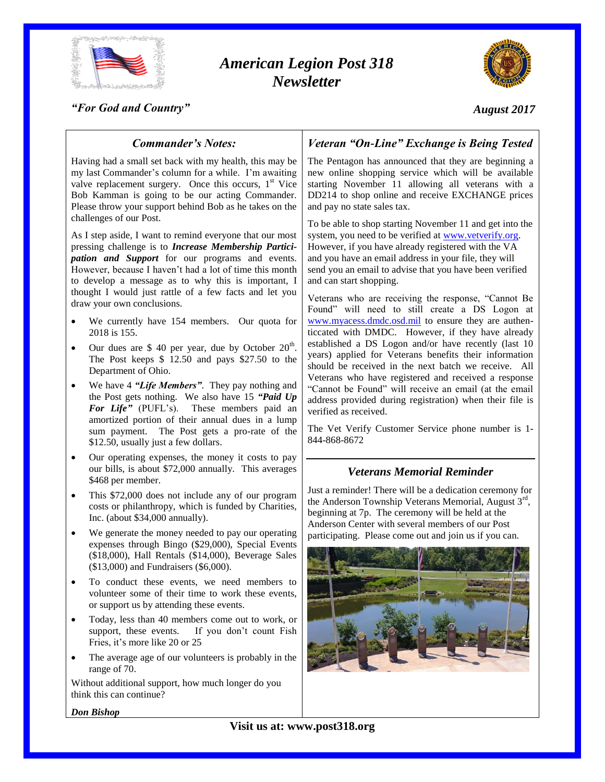

# *American Legion Post 318 Newsletter*



*"For God and Country"*

# *August 2017*

# *Commander's Notes:*

Having had a small set back with my health, this may be my last Commander's column for a while. I'm awaiting valve replacement surgery. Once this occurs,  $1<sup>st</sup>$  Vice Bob Kamman is going to be our acting Commander. Please throw your support behind Bob as he takes on the challenges of our Post.

As I step aside, I want to remind everyone that our most pressing challenge is to *Increase Membership Participation and Support* for our programs and events. However, because I haven't had a lot of time this month to develop a message as to why this is important, I thought I would just rattle of a few facts and let you draw your own conclusions.

- We currently have 154 members. Our quota for 2018 is 155.
- Our dues are \$ 40 per year, due by October  $20<sup>th</sup>$ . The Post keeps \$ 12.50 and pays \$27.50 to the Department of Ohio.
- We have 4 *"Life Members"*. They pay nothing and the Post gets nothing. We also have 15 *"Paid Up*  For Life" (PUFL's). These members paid an amortized portion of their annual dues in a lump sum payment. The Post gets a pro-rate of the \$12.50, usually just a few dollars.
- Our operating expenses, the money it costs to pay our bills, is about \$72,000 annually. This averages \$468 per member.
- This \$72,000 does not include any of our program costs or philanthropy, which is funded by Charities, Inc. (about \$34,000 annually).
- We generate the money needed to pay our operating expenses through Bingo (\$29,000), Special Events (\$18,000), Hall Rentals (\$14,000), Beverage Sales (\$13,000) and Fundraisers (\$6,000).
- To conduct these events, we need members to volunteer some of their time to work these events, or support us by attending these events.
- Today, less than 40 members come out to work, or support, these events. If you don't count Fish Fries, it's more like 20 or 25
- The average age of our volunteers is probably in the range of 70.

Without additional support, how much longer do you think this can continue?

*Don Bishop*

# *Veteran "On-Line" Exchange is Being Tested*

The Pentagon has announced that they are beginning a new online shopping service which will be available starting November 11 allowing all veterans with a DD214 to shop online and receive EXCHANGE prices and pay no state sales tax.

To be able to shop starting November 11 and get into the system, you need to be verified a[t www.vetverify.org.](http://www.vetverify.org/) However, if you have already registered with the VA and you have an email address in your file, they will send you an email to advise that you have been verified and can start shopping.

Veterans who are receiving the response, "Cannot Be Found" will need to still create a DS Logon at [www.myacess.dmdc.osd.mil](http://www.myacess.dmdc.osd.mil/) to ensure they are authenticcated with DMDC. However, if they have already established a DS Logon and/or have recently (last 10 years) applied for Veterans benefits their information should be received in the next batch we receive. All Veterans who have registered and received a response "Cannot be Found" will receive an email (at the email address provided during registration) when their file is verified as received.

The Vet Verify Customer Service phone number is 1- 844-868-8672

# *Veterans Memorial Reminder*

Just a reminder! There will be a dedication ceremony for the Anderson Township Veterans Memorial, August 3rd, beginning at 7p. The ceremony will be held at the Anderson Center with several members of our Post participating. Please come out and join us if you can.

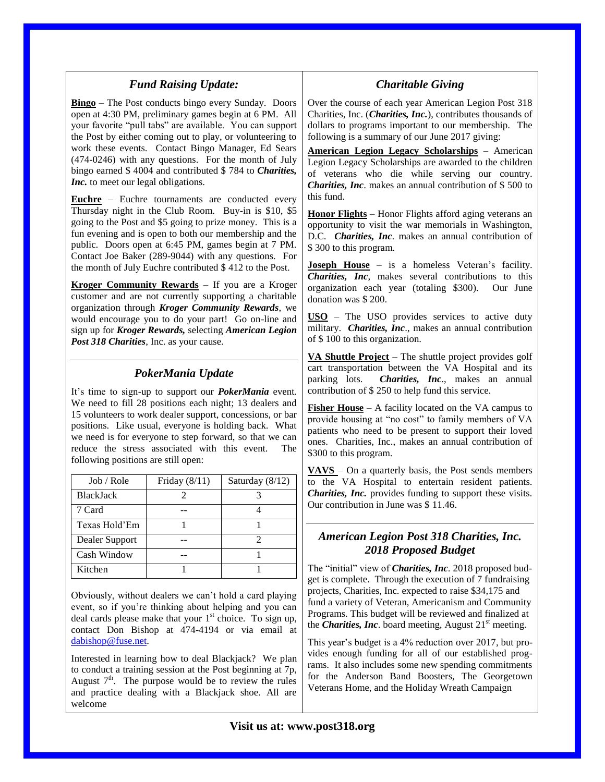| <b>Fund Raising Update:</b>                                                                                                                                                                                                                                                                                                                                                                                                                                          |                                                                                                   |
|----------------------------------------------------------------------------------------------------------------------------------------------------------------------------------------------------------------------------------------------------------------------------------------------------------------------------------------------------------------------------------------------------------------------------------------------------------------------|---------------------------------------------------------------------------------------------------|
| <b>Bingo</b> – The Post conducts bingo every Sunday. Doors<br>open at 4:30 PM, preliminary games begin at 6 PM. All<br>your favorite "pull tabs" are available. You can support<br>the Post by either coming out to play, or volunteering to<br>work these events. Contact Bingo Manager, Ed Sears<br>(474-0246) with any questions. For the month of July<br>bingo earned \$4004 and contributed \$784 to <i>Charities</i> ,<br>Inc. to meet our legal obligations. | Over th<br>Charitie<br>dollars<br>followi<br><u>Amerio</u><br>Legion<br>of vet<br>Chariti         |
| <b>Euchre</b> – Euchre tournaments are conducted every<br>Thursday night in the Club Room. Buy-in is \$10, \$5<br>going to the Post and \$5 going to prize money. This is a<br>fun evening and is open to both our membership and the<br>public. Doors open at 6:45 PM, games begin at 7 PM.<br>Contact Joe Baker (289-9044) with any questions. For<br>the month of July Euchre contributed \$412 to the Post.                                                      | this fun<br>Honor<br>opportu<br>$D.C.$ (<br>\$300 to<br><b>Joseph</b>                             |
| Kroger Community Rewards - If you are a Kroger<br>customer and are not currently supporting a charitable<br>organization through Kroger Community Rewards, we<br>would encourage you to do your part! Go on-line and<br>sign up for Kroger Rewards, selecting American Legion<br>Post 318 Charities, Inc. as your cause.                                                                                                                                             | <b>Chariti</b><br>organiz<br>donatio<br>$\overline{\text{USO}}$ -<br>military<br>of \$10<br>VA Sh |
| PokerMania Update<br>It's time to sign-up to support our <i>PokerMania</i> event.<br>We need to fill 28 positions each night; 13 dealers and<br>15 volunteers to work dealer support, concessions, or bar<br>positions. Like usual, everyone is holding back. What                                                                                                                                                                                                   | cart tra<br>parking<br>contrib<br>Fisher<br>provide<br>antinate                                   |

| Job / Role       | Friday $(8/11)$ | Saturday $(8/12)$ |
|------------------|-----------------|-------------------|
| <b>BlackJack</b> |                 |                   |
| 7 Card           |                 |                   |
| Texas Hold'Em    |                 |                   |
| Dealer Support   |                 |                   |
| Cash Window      |                 |                   |
| Kitchen          |                 |                   |

we need is for everyone to step forward, so that we can reduce the stress associated with this event. The

following positions are still open:

Obviously, without dealers we can't hold a card playing event, so if you're thinking about helping and you can deal cards please make that your 1 st choice. To sign up, contact Don Bishop at 474-4194 or via email at [dabishop@fuse.net.](mailto:dabishop@fuse.net)

Interested in learning how to deal Blackjack? We plan to conduct a training session at the Post beginning at 7p, August  $7<sup>th</sup>$ . The purpose would be to review the rules and practice dealing with a Blackjack shoe. All are welcome

# *Charitable Giving*

le course of each year American Legion Post 318 es, Inc. (*Charities, Inc.*), contributes thousands of to programs important to our membership. The  $ng$  is a summary of our June 2017 giving:

**American Legion Legacy Scholarships** – American Legacy Scholarships are awarded to the children erans who die while serving our country. es, *Inc*. makes an annual contribution of \$ 500 to  $\mathbf d$ 

**Flights** – Honor Flights afford aging veterans an inity to visit the war memorials in Washington, Charities, Inc. makes an annual contribution of o this program.

House – is a homeless Veteran's facility. ies, Inc, makes several contributions to this ation each year (totaling \$300). Our June on was \$ 200.

**USO** – The USO provides services to active duty 7. *Charities, Inc., makes an annual contribution* 0 to this organization.

**uttle Project** – The shuttle project provides golf ansportation between the VA Hospital and its lots. **Charities, Inc.**, makes an annual ution of  $$ 250$  to help fund this service.

**House** – A facility located on the VA campus to housing at "no cost" to family members of VA patients who need to be present to support their loved ones. Charities, Inc., makes an annual contribution of \$300 to this program.

**VAVS** – On a quarterly basis, the Post sends members to the VA Hospital to entertain resident patients. *Charities, Inc.* provides funding to support these visits. Our contribution in June was \$ 11.46.

# *American Legion Post 318 Charities, Inc. 2018 Proposed Budget*

The "initial" view of *Charities, Inc*. 2018 proposed budget is complete. Through the execution of 7 fundraising projects, Charities, Inc. expected to raise \$34,175 and fund a variety of Veteran, Americanism and Community Programs. This budget will be reviewed and finalized at the *Charities, Inc.* board meeting, August  $21<sup>st</sup>$  meeting.

This year's budget is a 4% reduction over 2017, but provides enough funding for all of our established programs. It also includes some new spending commitments for the Anderson Band Boosters, The Georgetown Veterans Home, and the Holiday Wreath Campaign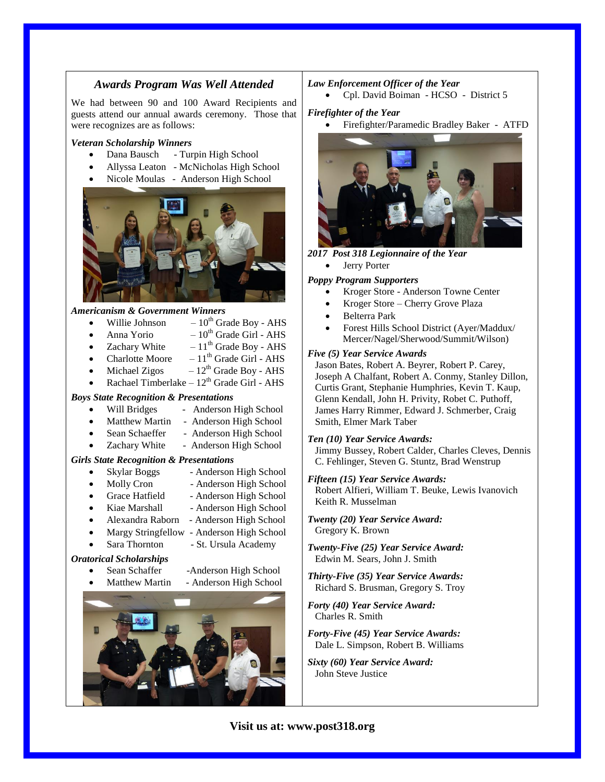## *Awards Program Was Well Attended*

We had between 90 and 100 Award Recipients and guests attend our annual awards ceremony. Those that were recognizes are as follows:

#### *Veteran Scholarship Winners*

- Dana Bausch Turpin High School
- Allyssa Leaton McNicholas High School
- Nicole Moulas Anderson High School



#### *Americanism & Government Winners*

Willie Johnson  $-10^{th}$  Grade Boy - AHS Anna Yorio  $-10^{th}$  Grade Girl - AHS Zachary White  $-11^{th}$  Grade Boy - AHS Charlotte Moore  $-11^{th}$  Grade Girl - AHS Michael Zigos  $-12^{th}$  Grade Boy - AHS Rachael Timberlake –  $12<sup>th</sup>$  Grade Girl - AHS *Boys State Recognition & Presentations* Will Bridges - Anderson High School Matthew Martin - Anderson High School Sean Schaeffer - Anderson High School Zachary White - Anderson High School *Girls State Recognition & Presentations* Skylar Boggs - Anderson High School Molly Cron - Anderson High School Grace Hatfield - Anderson High School Kiae Marshall - Anderson High School Alexandra Raborn - Anderson High School Margy Stringfellow - Anderson High School Sara Thornton - St. Ursula Academy *Oratorical Scholarships* Sean Schaffer -Anderson High School Matthew Martin - Anderson High School

#### *Law Enforcement Officer of the Year*

Cpl. David Boiman - HCSO - District 5

#### *Firefighter of the Year*

Firefighter/Paramedic Bradley Baker - ATFD



#### *2017 Post 318 Legionnaire of the Year*

Jerry Porter

#### *Poppy Program Supporters*

- Kroger Store Anderson Towne Center
- Kroger Store Cherry Grove Plaza
- Belterra Park
- Forest Hills School District (Ayer/Maddux/ Mercer/Nagel/Sherwood/Summit/Wilson)

#### *Five (5) Year Service Awards*

 Jason Bates, Robert A. Beyrer, Robert P. Carey, Joseph A Chalfant, Robert A. Conmy, Stanley Dillon, Curtis Grant, Stephanie Humphries, Kevin T. Kaup, Glenn Kendall, John H. Privity, Robet C. Puthoff, James Harry Rimmer, Edward J. Schmerber, Craig Smith, Elmer Mark Taber

#### *Ten (10) Year Service Awards:*

 Jimmy Bussey, Robert Calder, Charles Cleves, Dennis C. Fehlinger, Steven G. Stuntz, Brad Wenstrup

# *Fifteen (15) Year Service Awards:*

 Robert Alfieri, William T. Beuke, Lewis Ivanovich Keith R. Musselman

- *Twenty (20) Year Service Award:* Gregory K. Brown
- *Twenty-Five (25) Year Service Award:* Edwin M. Sears, John J. Smith
- *Thirty-Five (35) Year Service Awards:* Richard S. Brusman, Gregory S. Troy
- *Forty (40) Year Service Award:* Charles R. Smith
- *Forty-Five (45) Year Service Awards:* Dale L. Simpson, Robert B. Williams
- *Sixty (60) Year Service Award:* John Steve Justice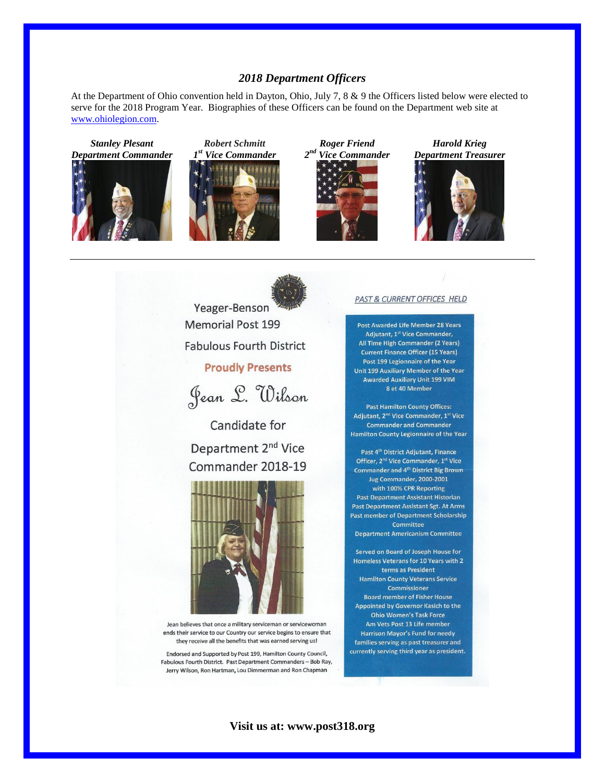# *2018 Department Officers*

At the Department of Ohio convention held in Dayton, Ohio, July 7, 8 & 9 the Officers listed below were elected to serve for the 2018 Program Year. Biographies of these Officers can be found on the Department web site at [www.ohiolegion.com.](http://www.ohiolegion.com/)

*Stanley Plesant Department Commander*













Yeager-Benson **Memorial Post 199 Fabulous Fourth District** 

# **Proudly Presents**



Candidate for Department 2<sup>nd</sup> Vice Commander 2018-19



Jean believes that once a military serviceman or servicewoman ends their service to our Country our service begins to ensure that they receive all the benefits that was earned serving us!

Endorsed and Supported by Post 199, Hamilton County Council, Fabulous Fourth District. Past Department Commanders - Bob Ray, Jerry Wilson, Ron Hartman, Lou Dimmerman and Ron Chapman

#### PAST & CURRENT OFFICES HELD

Post Awarded Life Member 28 Years Adjutant, 1st Vice Commander, All Time High Commander (2 Years) **Current Finance Officer (15 Years)** Post 199 Legionnaire of the Year Unit 199 Auxiliary Member of the Year **Awarded Auxiliary Unit 199 VIM** 8 et 40 Member

**Past Hamilton County Offices:** Adjutant, 2<sup>nd</sup> Vice Commander, 1<sup>st</sup> Vice **Commander and Commander** Hamilton County Legionnaire of the Year

Past 4<sup>th</sup> District Adjutant, Finance Officer, 2<sup>nd</sup> Vice Commander, 1<sup>st</sup> Vice **Commander and 4th District Big Brown** Jug Commander, 2000-2001 with 100% CPR Reporting Past Department Assistant Historian **Past Department Assistant Sgt. At Arms** Past member of Department Scholarship Committee **Department Americanism Committee** 

Served on Board of Joseph House for Homeless Veterans for 10 Years with 2 terms as President **Hamilton County Veterans Service** Commissioner **Board member of Fisher House** Appointed by Governor Kasich to the **Ohio Women's Task Force** Am Vets Post 13 Life member **Harrison Mayor's Fund for needy** families serving as past treasurer and currently serving third year as president.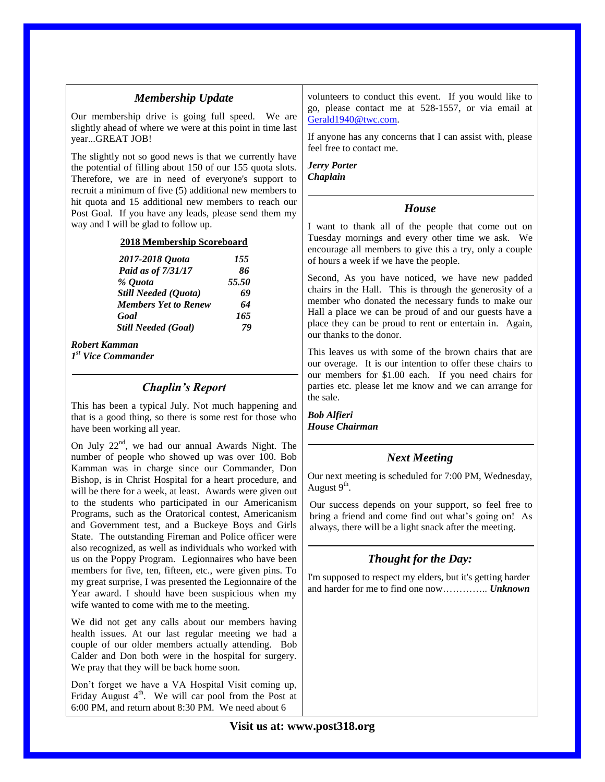|                                                                                                                                                                                                                                        | <b>Membership Opulie</b>                                                                                                                                                                                                    | $51$ ancels to conquer this event. If you would fine to                                                                                                                                               |  |
|----------------------------------------------------------------------------------------------------------------------------------------------------------------------------------------------------------------------------------------|-----------------------------------------------------------------------------------------------------------------------------------------------------------------------------------------------------------------------------|-------------------------------------------------------------------------------------------------------------------------------------------------------------------------------------------------------|--|
|                                                                                                                                                                                                                                        | Our membership drive is going full speed. We are<br>slightly ahead of where we were at this point in time last<br>yearGREAT JOB!                                                                                            | go, please contact me at 528-1557, or via email at<br>Gerald1940@twc.com.<br>If anyone has any concerns that I can assist with, please                                                                |  |
| The slightly not so good news is that we currently have<br>the potential of filling about 150 of our 155 quota slots.<br>Therefore, we are in need of everyone's support to<br>recruit a minimum of five (5) additional new members to |                                                                                                                                                                                                                             | feel free to contact me.<br><b>Jerry Porter</b><br>Chaplain                                                                                                                                           |  |
|                                                                                                                                                                                                                                        | hit quota and 15 additional new members to reach our<br>Post Goal. If you have any leads, please send them my                                                                                                               | House                                                                                                                                                                                                 |  |
|                                                                                                                                                                                                                                        | way and I will be glad to follow up.                                                                                                                                                                                        | I want to thank all of the people that come out on                                                                                                                                                    |  |
| 2018 Membership Scoreboard                                                                                                                                                                                                             |                                                                                                                                                                                                                             | Tuesday mornings and every other time we ask. We<br>encourage all members to give this a try, only a couple                                                                                           |  |
|                                                                                                                                                                                                                                        | 2017-2018 Quota<br>155<br>Paid as of 7/31/17<br>86                                                                                                                                                                          | of hours a week if we have the people.                                                                                                                                                                |  |
|                                                                                                                                                                                                                                        | 55.50<br>% Quota                                                                                                                                                                                                            | Second, As you have noticed, we have new padded                                                                                                                                                       |  |
|                                                                                                                                                                                                                                        | Still Needed (Quota)<br>69                                                                                                                                                                                                  | chairs in the Hall. This is through the generosity of a<br>member who donated the necessary funds to make our                                                                                         |  |
|                                                                                                                                                                                                                                        | <b>Members Yet to Renew</b><br>64<br>165<br>Goal                                                                                                                                                                            | Hall a place we can be proud of and our guests have a                                                                                                                                                 |  |
|                                                                                                                                                                                                                                        | 79<br><b>Still Needed (Goal)</b>                                                                                                                                                                                            | place they can be proud to rent or entertain in. Again,                                                                                                                                               |  |
|                                                                                                                                                                                                                                        | <b>Robert Kamman</b><br>$Ist$ Vice Commander                                                                                                                                                                                | our thanks to the donor.<br>This leaves us with some of the brown chairs that are<br>our overage. It is our intention to offer these chairs to<br>our members for \$1.00 each. If you need chairs for |  |
|                                                                                                                                                                                                                                        | <b>Chaplin's Report</b>                                                                                                                                                                                                     | parties etc. please let me know and we can arrange for<br>the sale.                                                                                                                                   |  |
|                                                                                                                                                                                                                                        | This has been a typical July. Not much happening and<br>that is a good thing, so there is some rest for those who<br>have been working all year.                                                                            | <b>Bob Alfieri</b><br><b>House Chairman</b>                                                                                                                                                           |  |
|                                                                                                                                                                                                                                        | On July $22^{nd}$ , we had our annual Awards Night. The<br>number of people who showed up was over 100. Bob                                                                                                                 | <b>Next Meeting</b>                                                                                                                                                                                   |  |
|                                                                                                                                                                                                                                        | Kamman was in charge since our Commander, Don<br>Bishop, is in Christ Hospital for a heart procedure, and<br>will be there for a week, at least. Awards were given out                                                      | Our next meeting is scheduled for 7:00 PM, Wednesday,<br>August $9th$ .                                                                                                                               |  |
|                                                                                                                                                                                                                                        | to the students who participated in our Americanism<br>Programs, such as the Oratorical contest, Americanism<br>and Government test, and a Buckeye Boys and Girls<br>State. The outstanding Fireman and Police officer were | Our success depends on your support, so feel free to<br>bring a friend and come find out what's going on! As<br>always, there will be a light snack after the meeting.                                |  |
|                                                                                                                                                                                                                                        | also recognized, as well as individuals who worked with<br>us on the Poppy Program. Legionnaires who have been                                                                                                              | <b>Thought for the Day:</b>                                                                                                                                                                           |  |
|                                                                                                                                                                                                                                        | members for five, ten, fifteen, etc., were given pins. To<br>my great surprise, I was presented the Legionnaire of the<br>Year award. I should have been suspicious when my                                                 | I'm supposed to respect my elders, but it's getting harder<br>and harder for me to find one now Unknown                                                                                               |  |

volunteers to conduct this event. If you would like to

*Membership Update*

wife wanted to come with me to the meeting.

We pray that they will be back home soon.

We did not get any calls about our members having health issues. At our last regular meeting we had a couple of our older members actually attending. Bob Calder and Don both were in the hospital for surgery.

Don't forget we have a VA Hospital Visit coming up, Friday August  $4<sup>th</sup>$ . We will car pool from the Post at 6:00 PM, and return about 8:30 PM. We need about 6